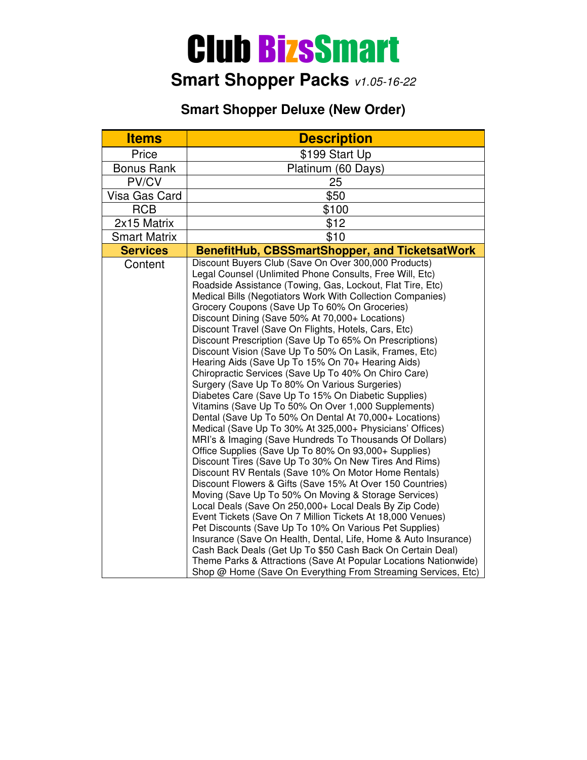# Club BizsSmart

## **Smart Shopper Packs** v1.05-16-22

#### **Smart Shopper Deluxe (New Order)**

| <b>Items</b>        | <b>Description</b>                                                                                                                                                                                                                                                                                                                                                                                                                                                                                                                                                                                                                                                                                                                                                                                                                                                                                                                                                                                                                                                                                                                                                                                                                                                                                                                                                                                                                                                                                                                                                                                                                                                                                                                               |
|---------------------|--------------------------------------------------------------------------------------------------------------------------------------------------------------------------------------------------------------------------------------------------------------------------------------------------------------------------------------------------------------------------------------------------------------------------------------------------------------------------------------------------------------------------------------------------------------------------------------------------------------------------------------------------------------------------------------------------------------------------------------------------------------------------------------------------------------------------------------------------------------------------------------------------------------------------------------------------------------------------------------------------------------------------------------------------------------------------------------------------------------------------------------------------------------------------------------------------------------------------------------------------------------------------------------------------------------------------------------------------------------------------------------------------------------------------------------------------------------------------------------------------------------------------------------------------------------------------------------------------------------------------------------------------------------------------------------------------------------------------------------------------|
| Price               | \$199 Start Up                                                                                                                                                                                                                                                                                                                                                                                                                                                                                                                                                                                                                                                                                                                                                                                                                                                                                                                                                                                                                                                                                                                                                                                                                                                                                                                                                                                                                                                                                                                                                                                                                                                                                                                                   |
| <b>Bonus Rank</b>   | Platinum (60 Days)                                                                                                                                                                                                                                                                                                                                                                                                                                                                                                                                                                                                                                                                                                                                                                                                                                                                                                                                                                                                                                                                                                                                                                                                                                                                                                                                                                                                                                                                                                                                                                                                                                                                                                                               |
| PV/CV               | 25                                                                                                                                                                                                                                                                                                                                                                                                                                                                                                                                                                                                                                                                                                                                                                                                                                                                                                                                                                                                                                                                                                                                                                                                                                                                                                                                                                                                                                                                                                                                                                                                                                                                                                                                               |
| Visa Gas Card       | \$50                                                                                                                                                                                                                                                                                                                                                                                                                                                                                                                                                                                                                                                                                                                                                                                                                                                                                                                                                                                                                                                                                                                                                                                                                                                                                                                                                                                                                                                                                                                                                                                                                                                                                                                                             |
| <b>RCB</b>          | \$100                                                                                                                                                                                                                                                                                                                                                                                                                                                                                                                                                                                                                                                                                                                                                                                                                                                                                                                                                                                                                                                                                                                                                                                                                                                                                                                                                                                                                                                                                                                                                                                                                                                                                                                                            |
| 2x15 Matrix         | \$12                                                                                                                                                                                                                                                                                                                                                                                                                                                                                                                                                                                                                                                                                                                                                                                                                                                                                                                                                                                                                                                                                                                                                                                                                                                                                                                                                                                                                                                                                                                                                                                                                                                                                                                                             |
| <b>Smart Matrix</b> | \$10                                                                                                                                                                                                                                                                                                                                                                                                                                                                                                                                                                                                                                                                                                                                                                                                                                                                                                                                                                                                                                                                                                                                                                                                                                                                                                                                                                                                                                                                                                                                                                                                                                                                                                                                             |
| <b>Services</b>     | BenefitHub, CBSSmartShopper, and TicketsatWork                                                                                                                                                                                                                                                                                                                                                                                                                                                                                                                                                                                                                                                                                                                                                                                                                                                                                                                                                                                                                                                                                                                                                                                                                                                                                                                                                                                                                                                                                                                                                                                                                                                                                                   |
| Content             | Discount Buyers Club (Save On Over 300,000 Products)<br>Legal Counsel (Unlimited Phone Consults, Free Will, Etc)<br>Roadside Assistance (Towing, Gas, Lockout, Flat Tire, Etc)<br>Medical Bills (Negotiators Work With Collection Companies)<br>Grocery Coupons (Save Up To 60% On Groceries)<br>Discount Dining (Save 50% At 70,000+ Locations)<br>Discount Travel (Save On Flights, Hotels, Cars, Etc)<br>Discount Prescription (Save Up To 65% On Prescriptions)<br>Discount Vision (Save Up To 50% On Lasik, Frames, Etc)<br>Hearing Aids (Save Up To 15% On 70+ Hearing Aids)<br>Chiropractic Services (Save Up To 40% On Chiro Care)<br>Surgery (Save Up To 80% On Various Surgeries)<br>Diabetes Care (Save Up To 15% On Diabetic Supplies)<br>Vitamins (Save Up To 50% On Over 1,000 Supplements)<br>Dental (Save Up To 50% On Dental At 70,000+ Locations)<br>Medical (Save Up To 30% At 325,000+ Physicians' Offices)<br>MRI's & Imaging (Save Hundreds To Thousands Of Dollars)<br>Office Supplies (Save Up To 80% On 93,000+ Supplies)<br>Discount Tires (Save Up To 30% On New Tires And Rims)<br>Discount RV Rentals (Save 10% On Motor Home Rentals)<br>Discount Flowers & Gifts (Save 15% At Over 150 Countries)<br>Moving (Save Up To 50% On Moving & Storage Services)<br>Local Deals (Save On 250,000+ Local Deals By Zip Code)<br>Event Tickets (Save On 7 Million Tickets At 18,000 Venues)<br>Pet Discounts (Save Up To 10% On Various Pet Supplies)<br>Insurance (Save On Health, Dental, Life, Home & Auto Insurance)<br>Cash Back Deals (Get Up To \$50 Cash Back On Certain Deal)<br>Theme Parks & Attractions (Save At Popular Locations Nationwide)<br>Shop @ Home (Save On Everything From Streaming Services, Etc) |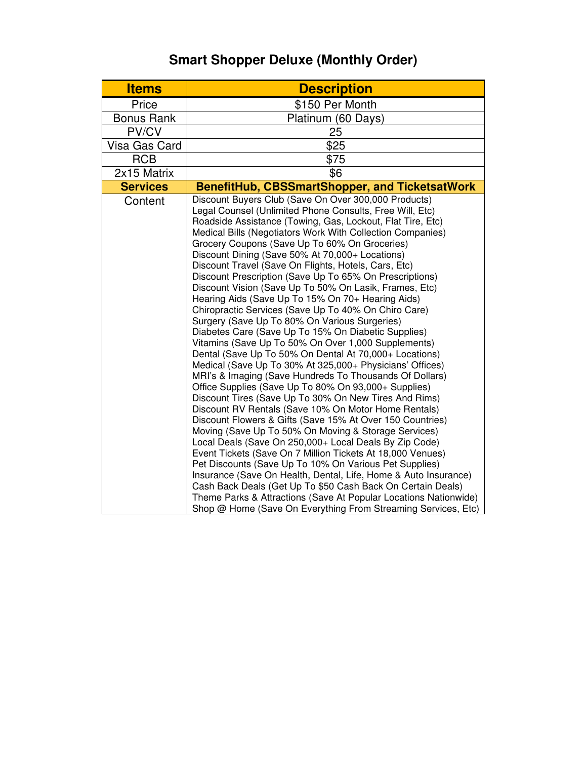### **Smart Shopper Deluxe (Monthly Order)**

| <b>Items</b>      | <b>Description</b>                                                                                                                                                                                                                                                                                                                                                                                                                                                                                                                                                                                                                                                                                                                                                                                                                                                                                                                                                                                                                                                                                                                                                                                                                                                                                                                                                                                                                                                                                                                                                                                                                                                                                                                                |
|-------------------|---------------------------------------------------------------------------------------------------------------------------------------------------------------------------------------------------------------------------------------------------------------------------------------------------------------------------------------------------------------------------------------------------------------------------------------------------------------------------------------------------------------------------------------------------------------------------------------------------------------------------------------------------------------------------------------------------------------------------------------------------------------------------------------------------------------------------------------------------------------------------------------------------------------------------------------------------------------------------------------------------------------------------------------------------------------------------------------------------------------------------------------------------------------------------------------------------------------------------------------------------------------------------------------------------------------------------------------------------------------------------------------------------------------------------------------------------------------------------------------------------------------------------------------------------------------------------------------------------------------------------------------------------------------------------------------------------------------------------------------------------|
| Price             | \$150 Per Month                                                                                                                                                                                                                                                                                                                                                                                                                                                                                                                                                                                                                                                                                                                                                                                                                                                                                                                                                                                                                                                                                                                                                                                                                                                                                                                                                                                                                                                                                                                                                                                                                                                                                                                                   |
| <b>Bonus Rank</b> | Platinum (60 Days)                                                                                                                                                                                                                                                                                                                                                                                                                                                                                                                                                                                                                                                                                                                                                                                                                                                                                                                                                                                                                                                                                                                                                                                                                                                                                                                                                                                                                                                                                                                                                                                                                                                                                                                                |
| PV/CV             | 25                                                                                                                                                                                                                                                                                                                                                                                                                                                                                                                                                                                                                                                                                                                                                                                                                                                                                                                                                                                                                                                                                                                                                                                                                                                                                                                                                                                                                                                                                                                                                                                                                                                                                                                                                |
| Visa Gas Card     | \$25                                                                                                                                                                                                                                                                                                                                                                                                                                                                                                                                                                                                                                                                                                                                                                                                                                                                                                                                                                                                                                                                                                                                                                                                                                                                                                                                                                                                                                                                                                                                                                                                                                                                                                                                              |
| <b>RCB</b>        | \$75                                                                                                                                                                                                                                                                                                                                                                                                                                                                                                                                                                                                                                                                                                                                                                                                                                                                                                                                                                                                                                                                                                                                                                                                                                                                                                                                                                                                                                                                                                                                                                                                                                                                                                                                              |
| 2x15 Matrix       | \$6                                                                                                                                                                                                                                                                                                                                                                                                                                                                                                                                                                                                                                                                                                                                                                                                                                                                                                                                                                                                                                                                                                                                                                                                                                                                                                                                                                                                                                                                                                                                                                                                                                                                                                                                               |
| <b>Services</b>   | BenefitHub, CBSSmartShopper, and TicketsatWork                                                                                                                                                                                                                                                                                                                                                                                                                                                                                                                                                                                                                                                                                                                                                                                                                                                                                                                                                                                                                                                                                                                                                                                                                                                                                                                                                                                                                                                                                                                                                                                                                                                                                                    |
| Content           | Discount Buyers Club (Save On Over 300,000 Products)<br>Legal Counsel (Unlimited Phone Consults, Free Will, Etc)<br>Roadside Assistance (Towing, Gas, Lockout, Flat Tire, Etc)<br>Medical Bills (Negotiators Work With Collection Companies)<br>Grocery Coupons (Save Up To 60% On Groceries)<br>Discount Dining (Save 50% At 70,000+ Locations)<br>Discount Travel (Save On Flights, Hotels, Cars, Etc)<br>Discount Prescription (Save Up To 65% On Prescriptions)<br>Discount Vision (Save Up To 50% On Lasik, Frames, Etc)<br>Hearing Aids (Save Up To 15% On 70+ Hearing Aids)<br>Chiropractic Services (Save Up To 40% On Chiro Care)<br>Surgery (Save Up To 80% On Various Surgeries)<br>Diabetes Care (Save Up To 15% On Diabetic Supplies)<br>Vitamins (Save Up To 50% On Over 1,000 Supplements)<br>Dental (Save Up To 50% On Dental At 70,000+ Locations)<br>Medical (Save Up To 30% At 325,000+ Physicians' Offices)<br>MRI's & Imaging (Save Hundreds To Thousands Of Dollars)<br>Office Supplies (Save Up To 80% On 93,000+ Supplies)<br>Discount Tires (Save Up To 30% On New Tires And Rims)<br>Discount RV Rentals (Save 10% On Motor Home Rentals)<br>Discount Flowers & Gifts (Save 15% At Over 150 Countries)<br>Moving (Save Up To 50% On Moving & Storage Services)<br>Local Deals (Save On 250,000+ Local Deals By Zip Code)<br>Event Tickets (Save On 7 Million Tickets At 18,000 Venues)<br>Pet Discounts (Save Up To 10% On Various Pet Supplies)<br>Insurance (Save On Health, Dental, Life, Home & Auto Insurance)<br>Cash Back Deals (Get Up To \$50 Cash Back On Certain Deals)<br>Theme Parks & Attractions (Save At Popular Locations Nationwide)<br>Shop @ Home (Save On Everything From Streaming Services, Etc) |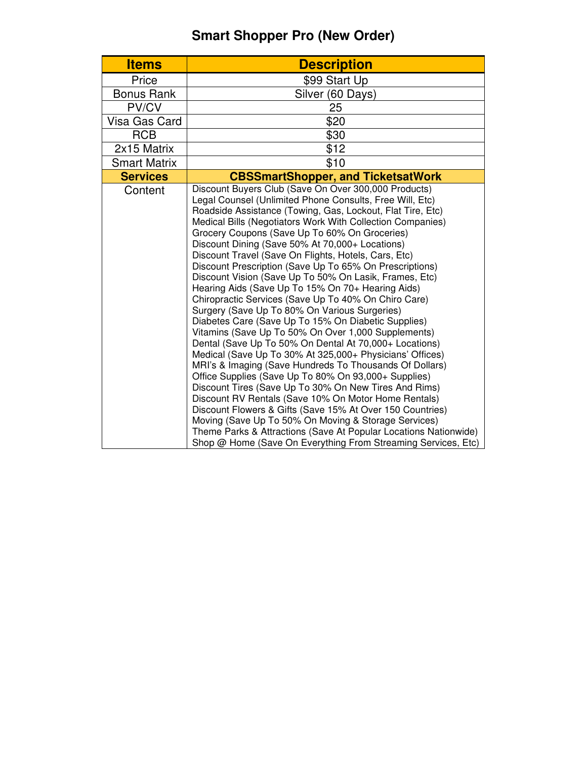### **Smart Shopper Pro (New Order)**

| <b>Items</b>        | <b>Description</b>                                                                                                                                                                                                                                                                                                                                                                                                                                                                                                                                                                                                                                                                                                                                                                                                                                                                                                                                                                                                                                                                                                                                                                                                                                                                                                                                                                                                            |
|---------------------|-------------------------------------------------------------------------------------------------------------------------------------------------------------------------------------------------------------------------------------------------------------------------------------------------------------------------------------------------------------------------------------------------------------------------------------------------------------------------------------------------------------------------------------------------------------------------------------------------------------------------------------------------------------------------------------------------------------------------------------------------------------------------------------------------------------------------------------------------------------------------------------------------------------------------------------------------------------------------------------------------------------------------------------------------------------------------------------------------------------------------------------------------------------------------------------------------------------------------------------------------------------------------------------------------------------------------------------------------------------------------------------------------------------------------------|
| Price               | \$99 Start Up                                                                                                                                                                                                                                                                                                                                                                                                                                                                                                                                                                                                                                                                                                                                                                                                                                                                                                                                                                                                                                                                                                                                                                                                                                                                                                                                                                                                                 |
| <b>Bonus Rank</b>   | Silver (60 Days)                                                                                                                                                                                                                                                                                                                                                                                                                                                                                                                                                                                                                                                                                                                                                                                                                                                                                                                                                                                                                                                                                                                                                                                                                                                                                                                                                                                                              |
| PV/CV               | 25                                                                                                                                                                                                                                                                                                                                                                                                                                                                                                                                                                                                                                                                                                                                                                                                                                                                                                                                                                                                                                                                                                                                                                                                                                                                                                                                                                                                                            |
| Visa Gas Card       | \$20                                                                                                                                                                                                                                                                                                                                                                                                                                                                                                                                                                                                                                                                                                                                                                                                                                                                                                                                                                                                                                                                                                                                                                                                                                                                                                                                                                                                                          |
| <b>RCB</b>          | \$30                                                                                                                                                                                                                                                                                                                                                                                                                                                                                                                                                                                                                                                                                                                                                                                                                                                                                                                                                                                                                                                                                                                                                                                                                                                                                                                                                                                                                          |
| 2x15 Matrix         | \$12                                                                                                                                                                                                                                                                                                                                                                                                                                                                                                                                                                                                                                                                                                                                                                                                                                                                                                                                                                                                                                                                                                                                                                                                                                                                                                                                                                                                                          |
| <b>Smart Matrix</b> | \$10                                                                                                                                                                                                                                                                                                                                                                                                                                                                                                                                                                                                                                                                                                                                                                                                                                                                                                                                                                                                                                                                                                                                                                                                                                                                                                                                                                                                                          |
| <b>Services</b>     | <b>CBSSmartShopper, and TicketsatWork</b>                                                                                                                                                                                                                                                                                                                                                                                                                                                                                                                                                                                                                                                                                                                                                                                                                                                                                                                                                                                                                                                                                                                                                                                                                                                                                                                                                                                     |
| Content             | Discount Buyers Club (Save On Over 300,000 Products)<br>Legal Counsel (Unlimited Phone Consults, Free Will, Etc)<br>Roadside Assistance (Towing, Gas, Lockout, Flat Tire, Etc)<br>Medical Bills (Negotiators Work With Collection Companies)<br>Grocery Coupons (Save Up To 60% On Groceries)<br>Discount Dining (Save 50% At 70,000+ Locations)<br>Discount Travel (Save On Flights, Hotels, Cars, Etc)<br>Discount Prescription (Save Up To 65% On Prescriptions)<br>Discount Vision (Save Up To 50% On Lasik, Frames, Etc)<br>Hearing Aids (Save Up To 15% On 70+ Hearing Aids)<br>Chiropractic Services (Save Up To 40% On Chiro Care)<br>Surgery (Save Up To 80% On Various Surgeries)<br>Diabetes Care (Save Up To 15% On Diabetic Supplies)<br>Vitamins (Save Up To 50% On Over 1,000 Supplements)<br>Dental (Save Up To 50% On Dental At 70,000+ Locations)<br>Medical (Save Up To 30% At 325,000+ Physicians' Offices)<br>MRI's & Imaging (Save Hundreds To Thousands Of Dollars)<br>Office Supplies (Save Up To 80% On 93,000+ Supplies)<br>Discount Tires (Save Up To 30% On New Tires And Rims)<br>Discount RV Rentals (Save 10% On Motor Home Rentals)<br>Discount Flowers & Gifts (Save 15% At Over 150 Countries)<br>Moving (Save Up To 50% On Moving & Storage Services)<br>Theme Parks & Attractions (Save At Popular Locations Nationwide)<br>Shop @ Home (Save On Everything From Streaming Services, Etc) |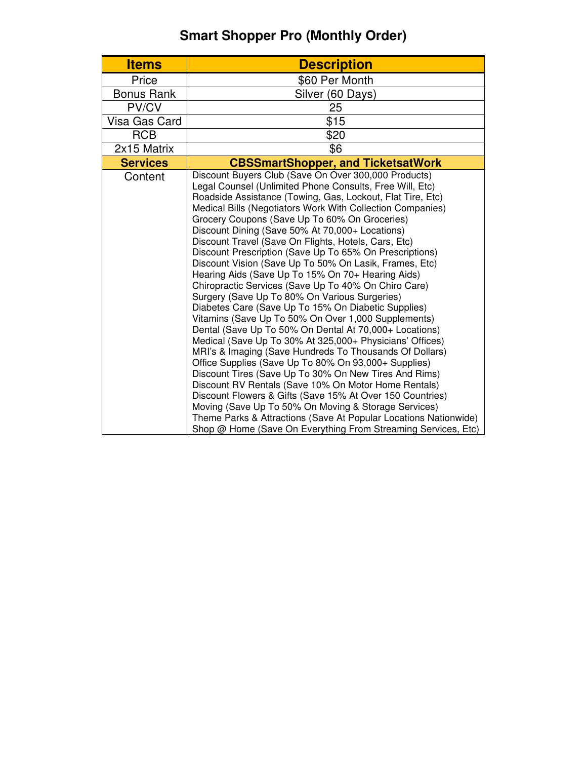### **Smart Shopper Pro (Monthly Order)**

| <b>Items</b>      | <b>Description</b>                                                                                                                                                                                                                                                                                                                                                                                                                                                                                                                                                                                                                                                                                                                                                                                                                                                                                                                                                                                                                                                                                                                                                                                                                                                                                                                                                                                                            |
|-------------------|-------------------------------------------------------------------------------------------------------------------------------------------------------------------------------------------------------------------------------------------------------------------------------------------------------------------------------------------------------------------------------------------------------------------------------------------------------------------------------------------------------------------------------------------------------------------------------------------------------------------------------------------------------------------------------------------------------------------------------------------------------------------------------------------------------------------------------------------------------------------------------------------------------------------------------------------------------------------------------------------------------------------------------------------------------------------------------------------------------------------------------------------------------------------------------------------------------------------------------------------------------------------------------------------------------------------------------------------------------------------------------------------------------------------------------|
| Price             | \$60 Per Month                                                                                                                                                                                                                                                                                                                                                                                                                                                                                                                                                                                                                                                                                                                                                                                                                                                                                                                                                                                                                                                                                                                                                                                                                                                                                                                                                                                                                |
| <b>Bonus Rank</b> | Silver (60 Days)                                                                                                                                                                                                                                                                                                                                                                                                                                                                                                                                                                                                                                                                                                                                                                                                                                                                                                                                                                                                                                                                                                                                                                                                                                                                                                                                                                                                              |
| PV/CV             | 25                                                                                                                                                                                                                                                                                                                                                                                                                                                                                                                                                                                                                                                                                                                                                                                                                                                                                                                                                                                                                                                                                                                                                                                                                                                                                                                                                                                                                            |
| Visa Gas Card     | \$15                                                                                                                                                                                                                                                                                                                                                                                                                                                                                                                                                                                                                                                                                                                                                                                                                                                                                                                                                                                                                                                                                                                                                                                                                                                                                                                                                                                                                          |
| <b>RCB</b>        | \$20                                                                                                                                                                                                                                                                                                                                                                                                                                                                                                                                                                                                                                                                                                                                                                                                                                                                                                                                                                                                                                                                                                                                                                                                                                                                                                                                                                                                                          |
| 2x15 Matrix       | \$6                                                                                                                                                                                                                                                                                                                                                                                                                                                                                                                                                                                                                                                                                                                                                                                                                                                                                                                                                                                                                                                                                                                                                                                                                                                                                                                                                                                                                           |
| <b>Services</b>   | <b>CBSSmartShopper, and TicketsatWork</b>                                                                                                                                                                                                                                                                                                                                                                                                                                                                                                                                                                                                                                                                                                                                                                                                                                                                                                                                                                                                                                                                                                                                                                                                                                                                                                                                                                                     |
| Content           | Discount Buyers Club (Save On Over 300,000 Products)<br>Legal Counsel (Unlimited Phone Consults, Free Will, Etc)<br>Roadside Assistance (Towing, Gas, Lockout, Flat Tire, Etc)<br>Medical Bills (Negotiators Work With Collection Companies)<br>Grocery Coupons (Save Up To 60% On Groceries)<br>Discount Dining (Save 50% At 70,000+ Locations)<br>Discount Travel (Save On Flights, Hotels, Cars, Etc)<br>Discount Prescription (Save Up To 65% On Prescriptions)<br>Discount Vision (Save Up To 50% On Lasik, Frames, Etc)<br>Hearing Aids (Save Up To 15% On 70+ Hearing Aids)<br>Chiropractic Services (Save Up To 40% On Chiro Care)<br>Surgery (Save Up To 80% On Various Surgeries)<br>Diabetes Care (Save Up To 15% On Diabetic Supplies)<br>Vitamins (Save Up To 50% On Over 1,000 Supplements)<br>Dental (Save Up To 50% On Dental At 70,000+ Locations)<br>Medical (Save Up To 30% At 325,000+ Physicians' Offices)<br>MRI's & Imaging (Save Hundreds To Thousands Of Dollars)<br>Office Supplies (Save Up To 80% On 93,000+ Supplies)<br>Discount Tires (Save Up To 30% On New Tires And Rims)<br>Discount RV Rentals (Save 10% On Motor Home Rentals)<br>Discount Flowers & Gifts (Save 15% At Over 150 Countries)<br>Moving (Save Up To 50% On Moving & Storage Services)<br>Theme Parks & Attractions (Save At Popular Locations Nationwide)<br>Shop @ Home (Save On Everything From Streaming Services, Etc) |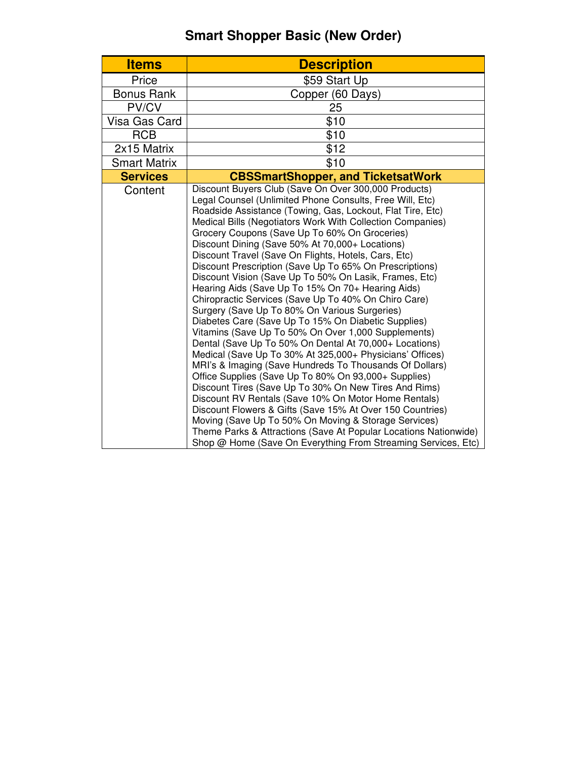### **Smart Shopper Basic (New Order)**

| <b>Items</b>        | <b>Description</b>                                                                                                                                                                                                                                                                                                                                                                                                                                                                                                                                                                                                                                                                                                                                                                                                                                                                                                                                                                                                                                                                                                                                                                                                                                                                                                                                                                                                            |
|---------------------|-------------------------------------------------------------------------------------------------------------------------------------------------------------------------------------------------------------------------------------------------------------------------------------------------------------------------------------------------------------------------------------------------------------------------------------------------------------------------------------------------------------------------------------------------------------------------------------------------------------------------------------------------------------------------------------------------------------------------------------------------------------------------------------------------------------------------------------------------------------------------------------------------------------------------------------------------------------------------------------------------------------------------------------------------------------------------------------------------------------------------------------------------------------------------------------------------------------------------------------------------------------------------------------------------------------------------------------------------------------------------------------------------------------------------------|
| Price               | \$59 Start Up                                                                                                                                                                                                                                                                                                                                                                                                                                                                                                                                                                                                                                                                                                                                                                                                                                                                                                                                                                                                                                                                                                                                                                                                                                                                                                                                                                                                                 |
| <b>Bonus Rank</b>   | Copper (60 Days)                                                                                                                                                                                                                                                                                                                                                                                                                                                                                                                                                                                                                                                                                                                                                                                                                                                                                                                                                                                                                                                                                                                                                                                                                                                                                                                                                                                                              |
| PV/CV               | 25                                                                                                                                                                                                                                                                                                                                                                                                                                                                                                                                                                                                                                                                                                                                                                                                                                                                                                                                                                                                                                                                                                                                                                                                                                                                                                                                                                                                                            |
| Visa Gas Card       | \$10                                                                                                                                                                                                                                                                                                                                                                                                                                                                                                                                                                                                                                                                                                                                                                                                                                                                                                                                                                                                                                                                                                                                                                                                                                                                                                                                                                                                                          |
| <b>RCB</b>          | \$10                                                                                                                                                                                                                                                                                                                                                                                                                                                                                                                                                                                                                                                                                                                                                                                                                                                                                                                                                                                                                                                                                                                                                                                                                                                                                                                                                                                                                          |
| 2x15 Matrix         | \$12                                                                                                                                                                                                                                                                                                                                                                                                                                                                                                                                                                                                                                                                                                                                                                                                                                                                                                                                                                                                                                                                                                                                                                                                                                                                                                                                                                                                                          |
| <b>Smart Matrix</b> | \$10                                                                                                                                                                                                                                                                                                                                                                                                                                                                                                                                                                                                                                                                                                                                                                                                                                                                                                                                                                                                                                                                                                                                                                                                                                                                                                                                                                                                                          |
| <b>Services</b>     | <b>CBSSmartShopper, and TicketsatWork</b>                                                                                                                                                                                                                                                                                                                                                                                                                                                                                                                                                                                                                                                                                                                                                                                                                                                                                                                                                                                                                                                                                                                                                                                                                                                                                                                                                                                     |
| Content             | Discount Buyers Club (Save On Over 300,000 Products)<br>Legal Counsel (Unlimited Phone Consults, Free Will, Etc)<br>Roadside Assistance (Towing, Gas, Lockout, Flat Tire, Etc)<br>Medical Bills (Negotiators Work With Collection Companies)<br>Grocery Coupons (Save Up To 60% On Groceries)<br>Discount Dining (Save 50% At 70,000+ Locations)<br>Discount Travel (Save On Flights, Hotels, Cars, Etc)<br>Discount Prescription (Save Up To 65% On Prescriptions)<br>Discount Vision (Save Up To 50% On Lasik, Frames, Etc)<br>Hearing Aids (Save Up To 15% On 70+ Hearing Aids)<br>Chiropractic Services (Save Up To 40% On Chiro Care)<br>Surgery (Save Up To 80% On Various Surgeries)<br>Diabetes Care (Save Up To 15% On Diabetic Supplies)<br>Vitamins (Save Up To 50% On Over 1,000 Supplements)<br>Dental (Save Up To 50% On Dental At 70,000+ Locations)<br>Medical (Save Up To 30% At 325,000+ Physicians' Offices)<br>MRI's & Imaging (Save Hundreds To Thousands Of Dollars)<br>Office Supplies (Save Up To 80% On 93,000+ Supplies)<br>Discount Tires (Save Up To 30% On New Tires And Rims)<br>Discount RV Rentals (Save 10% On Motor Home Rentals)<br>Discount Flowers & Gifts (Save 15% At Over 150 Countries)<br>Moving (Save Up To 50% On Moving & Storage Services)<br>Theme Parks & Attractions (Save At Popular Locations Nationwide)<br>Shop @ Home (Save On Everything From Streaming Services, Etc) |